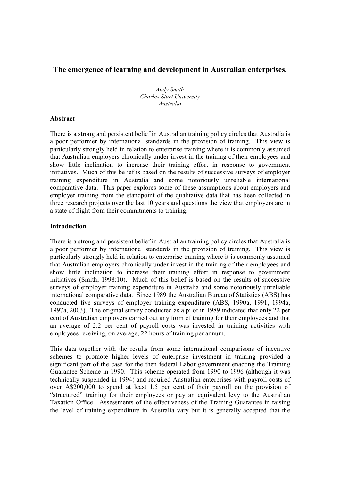# **The emergence of learning and development in Australian enterprises.**

*Andy Smith Charles Sturt University Australia*

# **Abstract**

There is a strong and persistent belief in Australian training policy circles that Australia is a poor performer by international standards in the provision of training. This view is particularly strongly held in relation to enterprise training where it is commonly assumed that Australian employers chronically under invest in the training of their employees and show little inclination to increase their training effort in response to government initiatives. Much of this belief is based on the results of successive surveys of employer training expenditure in Australia and some notoriously unreliable international comparative data. This paper explores some of these assumptions about employers and employer training from the standpoint of the qualitative data that has been collected in three research projects over the last 10 years and questions the view that employers are in a state of flight from their commitments to training.

# **Introduction**

There is a strong and persistent belief in Australian training policy circles that Australia is a poor performer by international standards in the provision of training. This view is particularly strongly held in relation to enterprise training where it is commonly assumed that Australian employers chronically under invest in the training of their employees and show little inclination to increase their training effort in response to government initiatives (Smith, 1998:10). Much of this belief is based on the results of successive surveys of employer training expenditure in Australia and some notoriously unreliable international comparative data. Since 1989 the Australian Bureau of Statistics (ABS) has conducted five surveys of employer training expenditure (ABS, 1990a, 1991, 1994a, 1997a, 2003). The original survey conducted as a pilot in 1989 indicated that only 22 per cent of Australian employers carried out any form of training for their employees and that an average of 2.2 per cent of payroll costs was invested in training activities with employees receiving, on average, 22 hours of training per annum.

This data together with the results from some international comparisons of incentive schemes to promote higher levels of enterprise investment in training provided a significant part of the case for the then federal Labor government enacting the Training Guarantee Scheme in 1990. This scheme operated from 1990 to 1996 (although it was technically suspended in 1994) and required Australian enterprises with payroll costs of over A\$200,000 to spend at least 1.5 per cent of their payroll on the provision of "structured" training for their employees or pay an equivalent levy to the Australian Taxation Office. Assessments of the effectiveness of the Training Guarantee in raising the level of training expenditure in Australia vary but it is generally accepted that the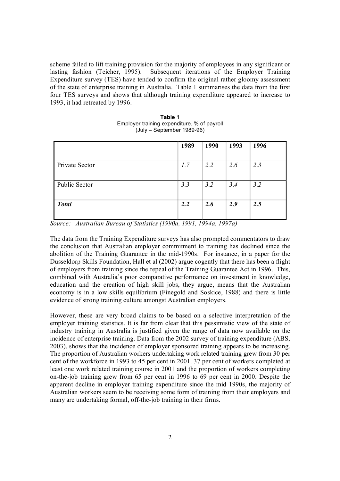scheme failed to lift training provision for the majority of employees in any significant or lasting fashion (Teicher, 1995). Subsequent iterations of the Employer Training Subsequent iterations of the Employer Training Expenditure survey (TES) have tended to confirm the original rather gloomy assessment of the state of enterprise training in Australia. Table 1 summarises the data from the first four TES surveys and shows that although training expenditure appeared to increase to 1993, it had retreated by 1996.

|                | 1989 | 1990 | 1993 | 1996 |
|----------------|------|------|------|------|
| Private Sector | 1.7  | 2.2  | 2.6  | 2.3  |
| Public Sector  | 3.3  | 3.2  | 3.4  | 3.2  |
| <b>Total</b>   | 2.2  | 2.6  | 2.9  | 2.5  |

**Table 1** Employer training expenditure, % of payroll  $(July - September 1989-96)$ 

*Source: Australian Bureau of Statistics (1990a, 1991, 1994a, 1997a)*

The data from the Training Expenditure surveys has also prompted commentators to draw the conclusion that Australian employer commitment to training has declined since the abolition of the Training Guarantee in the mid-1990s. For instance, in a paper for the Dusseldorp Skills Foundation, Hall et al (2002) argue cogently that there has been a flight of employers from training since the repeal of the Training Guarantee Act in 1996. This, combined with Australia's poor comparative performance on investment in knowledge, education and the creation of high skill jobs, they argue, means that the Australian economy is in a low skills equilibrium (Finegold and Soskice, 1988) and there is little evidence of strong training culture amongst Australian employers.

However, these are very broad claims to be based on a selective interpretation of the employer training statistics. It is far from clear that this pessimistic view of the state of industry training in Australia is justified given the range of data now available on the incidence of enterprise training. Data from the 2002 survey of training expenditure (ABS, 2003), shows that the incidence of employer sponsored training appears to be increasing. The proportion of Australian workers undertaking work related training grew from 30 per cent of the workforce in 1993 to 45 per cent in 2001. 37 per cent of workers completed at least one work related training course in 2001 and the proportion of workers completing on-the-job training grew from  $65$  per cent in 1996 to  $69$  per cent in 2000. Despite the apparent decline in employer training expenditure since the mid 1990s, the majority of Australian workers seem to be receiving some form of training from their employers and many are undertaking formal, off-the-job training in their firms.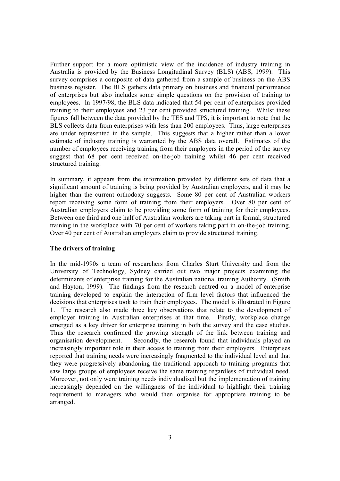Further support for a more optimistic view of the incidence of industry training in Australia is provided by the Business Longitudinal Survey (BLS) (ABS, 1999). This survey comprises a composite of data gathered from a sample of business on the ABS business register. The BLS gathers data primary on business and financial performance of enterprises but also includes some simple questions on the provision of training to employees. In 1997/98, the BLS data indicated that 54 per cent of enterprises provided training to their employees and 23 per cent provided structured training. Whilst these figures fall between the data provided by the TES and TPS, it is important to note that the BLS collects data from enterprises with less than 200 employees. Thus, large enterprises are under represented in the sample. This suggests that a higher rather than a lower estimate of industry training is warranted by the ABS data overall. Estimates of the number of employees receiving training from their employers in the period of the survey suggest that  $68$  per cent received on-the-job training whilst  $46$  per cent received structured training.

In summary, it appears from the information provided by different sets of data that a significant amount of training is being provided by Australian employers, and it may be higher than the current orthodoxy suggests. Some 80 per cent of Australian workers report receiving some form of training from their employers. Over 80 per cent of Australian employers claim to be providing some form of training for their employees. Between one third and one half of Australian workers are taking part in formal, structured training in the workplace with 70 per cent of workers taking part in on-the-job training. Over 40 per cent of Australian employers claim to provide structured training.

## **The drivers of training**

In the mid-1990s a team of researchers from Charles Sturt University and from the University of Technology, Sydney carried out two major projects examining the determinants of enterprise training for the Australian national training Authority. (Smith and Hayton, 1999). The findings from the research centred on a model of enterprise training developed to explain the interaction of firm level factors that influenced the decisions that enterprises took to train their employees. The model is illustrated in Figure 1. The research also made three key observations that relate to the development of employer training in Australian enterprises at that time. Firstly, workplace change emerged as a key driver for enterprise training in both the survey and the case studies. Thus the research confirmed the growing strength of the link between training and organisation development. Secondly, the research found that individuals played an increasingly important role in their access to training from their employers. Enterprises reported that training needs were increasingly fragmented to the individual level and that they were progressively abandoning the traditional approach to training programs that saw large groups of employees receive the same training regardless of individual need. Moreover, not only were training needs individualised but the implementation of training increasingly depended on the willingness of the individual to highlight their training requirement to managers who would then organise for appropriate training to be arranged.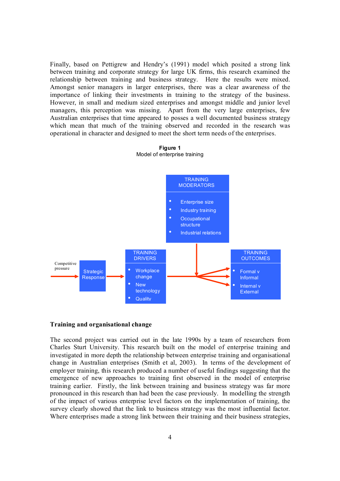Finally, based on Pettigrew and Hendry's (1991) model which posited a strong link between training and corporate strategy for large UK firms, this research examined the relationship between training and business strategy. Here the results were mixed. Amongst senior managers in larger enterprises, there was a clear awareness of the importance of linking their investments in training to the strategy of the business. However, in small and medium sized enterprises and amongst middle and junior level managers, this perception was missing. Apart from the very large enterprises, few Australian enterprises that time appeared to posses a well documented business strategy which mean that much of the training observed and recorded in the research was operational in character and designed to meet the short term needs of the enterprises.



**Figure 1** Model of enterprise training

#### **Training and organisational change**

The second project was carried out in the late 1990s by a team of researchers from Charles Sturt University. This research built on the model of enterprise training and investigated in more depth the relationship between enterprise training and organisational change in Australian enterprises (Smith et al, 2003). In terms of the development of employer training, this research produced a number of useful findings suggesting that the emergence of new approaches to training first observed in the model of enterprise training earlier. Firstly, the link between training and business strategy was far more pronounced in this research than had been the case previously. In modelling the strength of the impact of various enterprise level factors on the implementation of training, the survey clearly showed that the link to business strategy was the most influential factor. Where enterprises made a strong link between their training and their business strategies,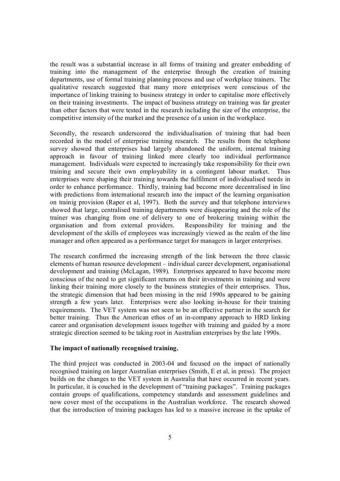the result was a substantial increase in all forms of training and greater embedding of training into the management of the enterprise through the creation of training departments, use of formal training planning process and use of workplace trainers. The qualitative research suggested that many more enterprises were conscious of the importance of linking training to business strategy in order to capitalise more effectively on their training investments. The impact of business strategy on training was far greater than other factors that were tested in the research including the size of the enterprise, the competitive intensity of the market and the presence of a union in the workplace.

Secondly, the research underscored the individualisation of training that had been recorded in the model of enterprise training research. The results from the telephone survey showed that enterprises had largely abandoned the uniform, internal training approach in favour of training linked more clearly too individual performance management. Individuals were expected to increasingly take responsibility for their own training and secure their own employability in a contingent labour market. Thus enterprises were shaping their training towards the fulfilment of individualised needs in order to enhance performance. Thirdly, training had become more decentralised in line with predictions from international research into the impact of the learning organisation on trainig provision (Raper et al, 1997). Both the survey and that telephone interviews showed that large, centralised training departments were disappearing and the role of the trainer was changing from one of delivery to one of brokering training within the organisation and from external providers. Responsibility for training and the development of the skills of employees was increasingly viewed as the realm of the line manager and often appeared as a performance target for managers in larger enterprises.

The research confirmed the increasing strength of the link between the three classic elements of human resource development – individual career development, organisational development and training (McLagan, 1989). Enterprises appeared to have become more conscious of the need to get significant returns on their investments in training and were linking their training more closely to the business strategies of their enterprises. Thus, the strategic dimension that had been missing in the mid 1990s appeared to be gaining strength a few years later. Enterprises were also looking in-house for their training requirements. The VET system was not seen to be an effective partner in the search for better training. Thus the American ethos of an incompany approach to HRD linking career and organisation development issues together with training and guided by a more strategic direction seemed to be taking root in Australian enterprises by the late 1990s.

## **The impact of nationally recognised training.**

The third project was conducted in 2003-04 and focused on the impact of nationally recognised training on larger Australian enterprises (Smith, E et al, in press). The project builds on the changes to the VET system in Australia that have occurred in recent years. In particular, it is couched in the development of "training packages". Training packages contain groups of qualifications, competency standards and assessment guidelines and now cover most of the occupations in the Australian workforce. The research showed that the introduction of training packages has led to a massive increase in the uptake of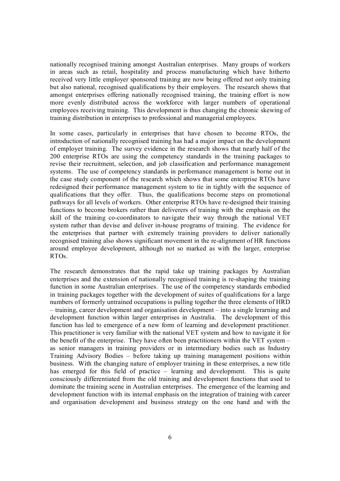nationally recognised training amongst Australian enterprises. Many groups of workers in areas such as retail, hospitality and process manufacturing which have hitherto received very little employer sponsored training are now being offered not only training but also national, recognised qualifications by their employers. The research shows that amongst enterprises offering nationally recognised training, the training effort is now more evenly distributed across the workforce with larger numbers of operational employees receiving training. This development is thus changing the chronic skewing of training distribution in enterprises to professional and managerial employees.

In some cases, particularly in enterprises that have chosen to become RTOs, the introduction of nationally recognised training has had a major impact on the development of employer training. The survey evidence in the research shows that nearly half of the 200 enterprise RTOs are using the competency standards in the training packages to revise their recruitment, selection, and job classification and performance management systems. The use of competency standards in performance management is borne out in the case study component of the research which shows that some enterprise RTOs have redesigned their performance management system to tie in tightly with the sequence of qualifications that they offer. Thus, the qualifications become steps on promotional pathways for all levels of workers. Other enterprise RTOs have re-designed their training functions to become brokers rather than deliverers of training with the emphasis on the skill of the training cocoordinators to navigate their way through the national VET system rather than devise and deliver in-house programs of training. The evidence for the enterprises that partner with extremely training providers to deliver nationally recognised training also shows significant movement in the re-alignment of HR functions around employee development, although not so marked as with the larger, enterprise RTOs.

The research demonstrates that the rapid take up training packages by Australian enterprises and the extension of nationally recognised training is reshaping the training function in some Australian enterprises. The use of the competency standards embodied in training packages together with the development of suites of qualifications for a large numbers of formerly untrained occupations is pulling together the three elements of HRD – training, career development and organisation development – into a single lerarning and development function within larger enterprises in Australia. The development of this function has led to emergence of a new form of learning and development practitioner. This practitioner is very familiar with the national VET system and how to navigate it for the benefit of the enterprise. They have often been practitioners within the VET system – as senior managers in training providers or in intermediary bodies such as Industry Training Advisory Bodies – before taking up training management positions within business. With the changing nature of employer training in these enterprises, a new title has emerged for this field of practice – learning and development. This is quite consciously differentiated from the old training and development functions that used to dominate the training scene in Australian enterprises. The emergence of the learning and development function with its internal emphasis on the integration of training with career and organisation development and business strategy on the one hand and with the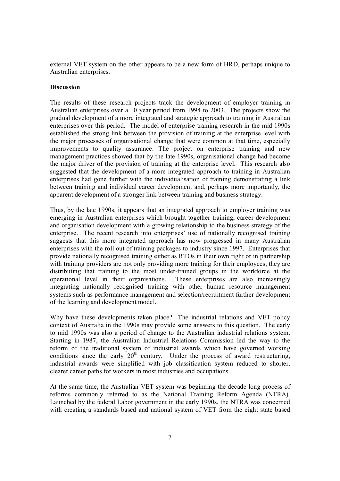external VET system on the other appears to be a new form of HRD, perhaps unique to Australian enterprises.

## **Discussion**

The results of these research projects track the development of employer training in Australian enterprises over a 10 year period from 1994 to 2003. The projects show the gradual development of a more integrated and strategic approach to training in Australian enterprises over this period. The model of enterprise training research in the mid 1990s established the strong link between the provision of training at the enterprise level with the major processes of organisational change that were common at that time, especially improvements to quality assurance. The project on enterprise training and new management practices showed that by the late 1990s, organisational change had become the major driver of the provision of training at the enterprise level. This research also suggested that the development of a more integrated approach to training in Australian enterprises had gone further with the individualisation of training demonstrating a link between training and individual career development and, perhaps more importantly, the apparent development of a stronger link between training and business strategy.

Thus, by the late 1990s, it appears that an integrated approach to employer training was emerging in Australian enterprises which brought together training, career development and organisation development with a growing relationship to the business strategy of the enterprise. The recent research into enterprises' use of nationally recognised training suggests that this more integrated approach has now progressed in many Australian enterprises with the roll out of training packages to industry since 1997. Enterprises that provide nationally recognised training either as RTOs in their own right or in partnership with training providers are not only providing more training for their employees, they are distributing that training to the most under-trained groups in the workforce at the operational level in their organisations. These enterprises are also increasingly integrating nationally recognised training with other human resource management systems such as performance management and selection/recruitment further development of the learning and development model.

Why have these developments taken place? The industrial relations and VET policy context of Australia in the 1990s may provide some answers to this question. The early to mid 1990s was also a period of change to the Australian industrial relations system. Starting in 1987, the Australian Industrial Relations Commission led the way to the reform of the traditional system of industrial awards which have governed working conditions since the early  $20<sup>th</sup>$  century. Under the process of award restructuring, industrial awards were simplified with job classification system reduced to shorter, clearer career paths for workers in most industries and occupations.

At the same time, the Australian VET system was beginning the decade long process of reforms commonly referred to as the National Training Reform Agenda (NTRA). Launched by the federal Labor government in the early 1990s, the NTRA was concerned with creating a standards based and national system of VET from the eight state based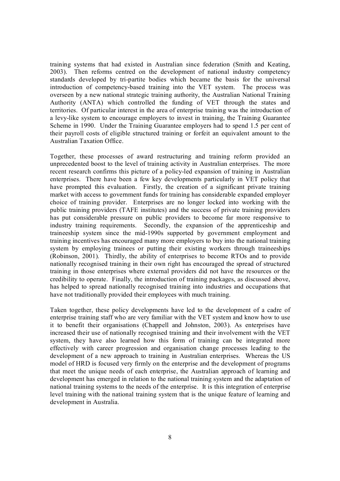training systems that had existed in Australian since federation (Smith and Keating, 2003). Then reforms centred on the development of national industry competency standards developed by tri-partite bodies which became the basis for the universal introduction of competency-based training into the VET system. The process was overseen by a new national strategic training authority, the Australian National Training Authority (ANTA) which controlled the funding of VET through the states and territories. Of particular interest in the area of enterprise training was the introduction of a levy-like system to encourage employers to invest in training, the Training Guarantee Scheme in 1990. Under the Training Guarantee employers had to spend 1.5 per cent of their payroll costs of eligible structured training or forfeit an equivalent amount to the Australian Taxation Office.

Together, these processes of award restructuring and training reform provided an unprecedented boost to the level of training activity in Australian enterprises. The more recent research confirms this picture of a policy-led expansion of training in Australian enterprises. There have been a few key developments particularly in VET policy that have prompted this evaluation. Firstly, the creation of a significant private training market with access to government funds for training has considerable expanded employer choice of training provider. Enterprises are no longer locked into working with the public training providers (TAFE institutes) and the success of private training providers has put considerable pressure on public providers to become far more responsive to industry training requirements. Secondly, the expansion of the apprenticeship and traineeship system since the mid-1990s supported by government employment and training incentives has encouraged many more employers to buy into the national training system by employing trainees or putting their existing workers through traineeships (Robinson, 2001). Thirdly, the ability of enterprises to become RTOs and to provide nationally recognised training in their own right has encouraged the spread of structured training in those enterprises where external providers did not have the resources or the credibility to operate. Finally, the introduction of training packages, as discussed above, has helped to spread nationally recognised training into industries and occupations that have not traditionally provided their employees with much training.

Taken together, these policy developments have led to the development of a cadre of enterprise training staff who are very familiar with the VET system and know how to use it to benefit their organisations (Chappell and Johnston, 2003). As enterprises have increased their use of nationally recognised training and their involvement with the VET system, they have also learned how this form of training can be integrated more effectively with career progression and organisation change processes leading to the development of a new approach to training in Australian enterprises. Whereas the US model of HRD is focused very firmly on the enterprise and the development of programs that meet the unique needs of each enterprise, the Australian approach of learning and development has emerged in relation to the national training system and the adaptation of national training systems to the needs of the enterprise. It is this integration of enterprise level training with the national training system that is the unique feature of learning and development in Australia.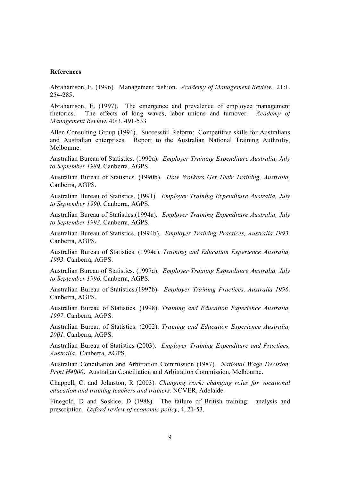#### **References**

Abrahamson, E. (1996). Management fashion. *Academy of Management Review*. 21:1. 254285.

Abrahamson, E. (1997). The emergence and prevalence of employee management rhetorics.: The effects of long waves, labor unions and turnover. *Academy of Management Review.* 40:3. 491-533

Allen Consulting Group (1994). Successful Reform: Competitive skills for Australians and Australian enterprises. Report to the Australian National Training Authrotiy, Melbourne.

Australian Bureau of Statistics. (1990a). *Employer Training Expenditure Australia, July to September 1989.* Canberra, AGPS.

Australian Bureau of Statistics. (1990b). *How Workers Get Their Training, Australia,* Canberra, AGPS.

Australian Bureau of Statistics. (1991). *Employer Training Expenditure Australia, July to September 1990.* Canberra, AGPS.

Australian Bureau of Statistics.(1994a). *Employer Training Expenditure Australia, July to September 1993.* Canberra, AGPS.

Australian Bureau of Statistics. (1994b). *Employer Training Practices, Australia 1993.* Canberra, AGPS.

Australian Bureau of Statistics. (1994c). *Training and Education Experience Australia, 1993.* Canberra, AGPS.

Australian Bureau of Statistics. (1997a). *Employer Training Expenditure Australia, July to September 1996.* Canberra, AGPS.

Australian Bureau of Statistics.(1997b). *Employer Training Practices, Australia 1996.* Canberra, AGPS.

Australian Bureau of Statistics. (1998). *Training and Education Experience Australia, 1997.* Canberra, AGPS.

Australian Bureau of Statistics. (2002). *Training and Education Experience Australia, 2001.* Canberra, AGPS.

Australian Bureau of Statistics (2003). *Employer Training Expenditure and Practices, Australia.* Canberra, AGPS.

Australian Conciliation and Arbitration Commission (1987). *National Wage Decision, Print H4000*. Australian Conciliation and Arbitration Commission, Melbourne.

Chappell, C. and Johnston, R (2003). *Changing work: changing roles for vocational education and training teachers and trainers*. NCVER, Adelaide.

Finegold, D and Soskice, D (1988). The failure of British training: analysis and prescription. *Oxford review of economic policy*, 4, 21-53.